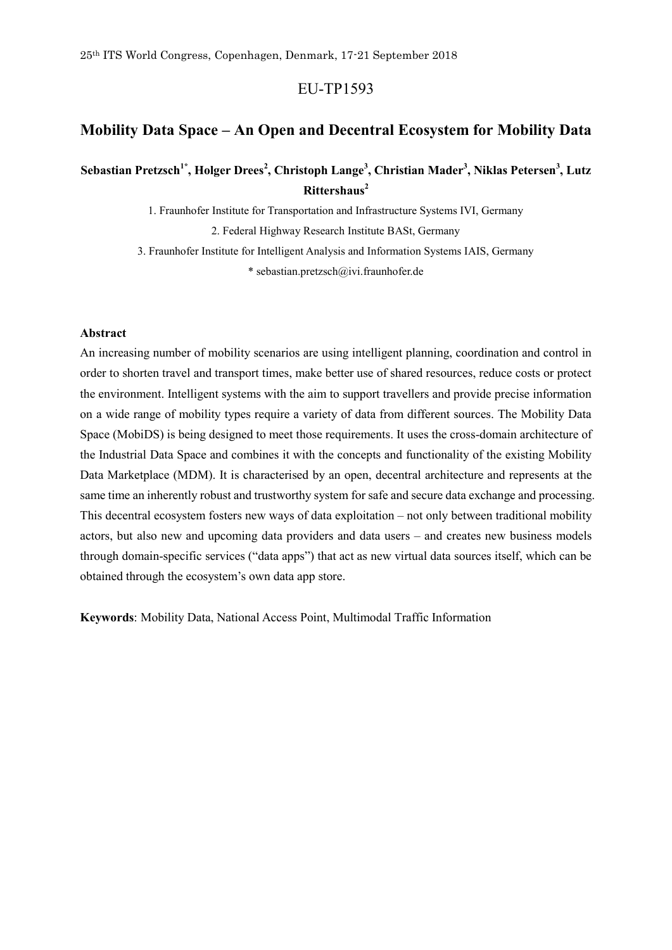# EU-TP1593

# **Mobility Data Space – An Open and Decentral Ecosystem for Mobility Data**

# **Sebastian Pretzsch1\*, Holger Drees<sup>2</sup> , Christoph Lange<sup>3</sup> , Christian Mader<sup>3</sup> , Niklas Petersen<sup>3</sup> , Lutz Rittershaus<sup>2</sup>**

1. Fraunhofer Institute for Transportation and Infrastructure Systems IVI, Germany

2. Federal Highway Research Institute BASt, Germany

3. Fraunhofer Institute for Intelligent Analysis and Information Systems IAIS, Germany

\* sebastian.pretzsch@ivi.fraunhofer.de

### **Abstract**

An increasing number of mobility scenarios are using intelligent planning, coordination and control in order to shorten travel and transport times, make better use of shared resources, reduce costs or protect the environment. Intelligent systems with the aim to support travellers and provide precise information on a wide range of mobility types require a variety of data from different sources. The Mobility Data Space (MobiDS) is being designed to meet those requirements. It uses the cross-domain architecture of the Industrial Data Space and combines it with the concepts and functionality of the existing Mobility Data Marketplace (MDM). It is characterised by an open, decentral architecture and represents at the same time an inherently robust and trustworthy system for safe and secure data exchange and processing. This decentral ecosystem fosters new ways of data exploitation – not only between traditional mobility actors, but also new and upcoming data providers and data users – and creates new business models through domain-specific services ("data apps") that act as new virtual data sources itself, which can be obtained through the ecosystem's own data app store.

**Keywords**: Mobility Data, National Access Point, Multimodal Traffic Information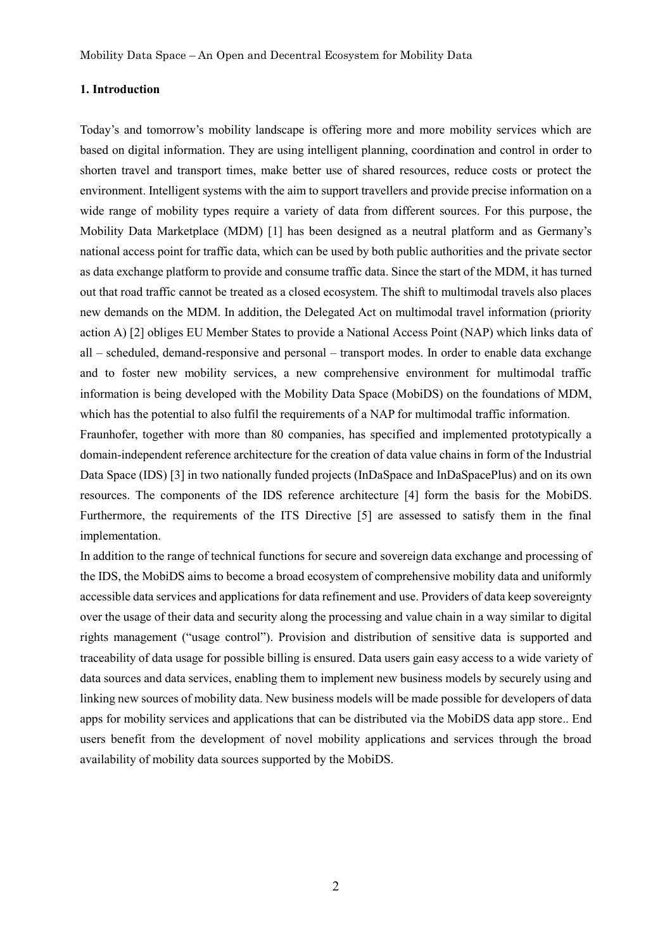Mobility Data Space – An Open and Decentral Ecosystem for Mobility Data

#### **1. Introduction**

Today's and tomorrow's mobility landscape is offering more and more mobility services which are based on digital information. They are using intelligent planning, coordination and control in order to shorten travel and transport times, make better use of shared resources, reduce costs or protect the environment. Intelligent systems with the aim to support travellers and provide precise information on a wide range of mobility types require a variety of data from different sources. For this purpose, the Mobility Data Marketplace (MDM) [1] has been designed as a neutral platform and as Germany's national access point for traffic data, which can be used by both public authorities and the private sector as data exchange platform to provide and consume traffic data. Since the start of the MDM, it has turned out that road traffic cannot be treated as a closed ecosystem. The shift to multimodal travels also places new demands on the MDM. In addition, the Delegated Act on multimodal travel information (priority action A) [2] obliges EU Member States to provide a National Access Point (NAP) which links data of all – scheduled, demand-responsive and personal – transport modes. In order to enable data exchange and to foster new mobility services, a new comprehensive environment for multimodal traffic information is being developed with the Mobility Data Space (MobiDS) on the foundations of MDM, which has the potential to also fulfil the requirements of a NAP for multimodal traffic information.

Fraunhofer, together with more than 80 companies, has specified and implemented prototypically a domain-independent reference architecture for the creation of data value chains in form of the Industrial Data Space (IDS) [3] in two nationally funded projects (InDaSpace and InDaSpacePlus) and on its own resources. The components of the IDS reference architecture [4] form the basis for the MobiDS. Furthermore, the requirements of the ITS Directive [5] are assessed to satisfy them in the final implementation.

In addition to the range of technical functions for secure and sovereign data exchange and processing of the IDS, the MobiDS aims to become a broad ecosystem of comprehensive mobility data and uniformly accessible data services and applications for data refinement and use. Providers of data keep sovereignty over the usage of their data and security along the processing and value chain in a way similar to digital rights management ("usage control"). Provision and distribution of sensitive data is supported and traceability of data usage for possible billing is ensured. Data users gain easy access to a wide variety of data sources and data services, enabling them to implement new business models by securely using and linking new sources of mobility data. New business models will be made possible for developers of data apps for mobility services and applications that can be distributed via the MobiDS data app store.. End users benefit from the development of novel mobility applications and services through the broad availability of mobility data sources supported by the MobiDS.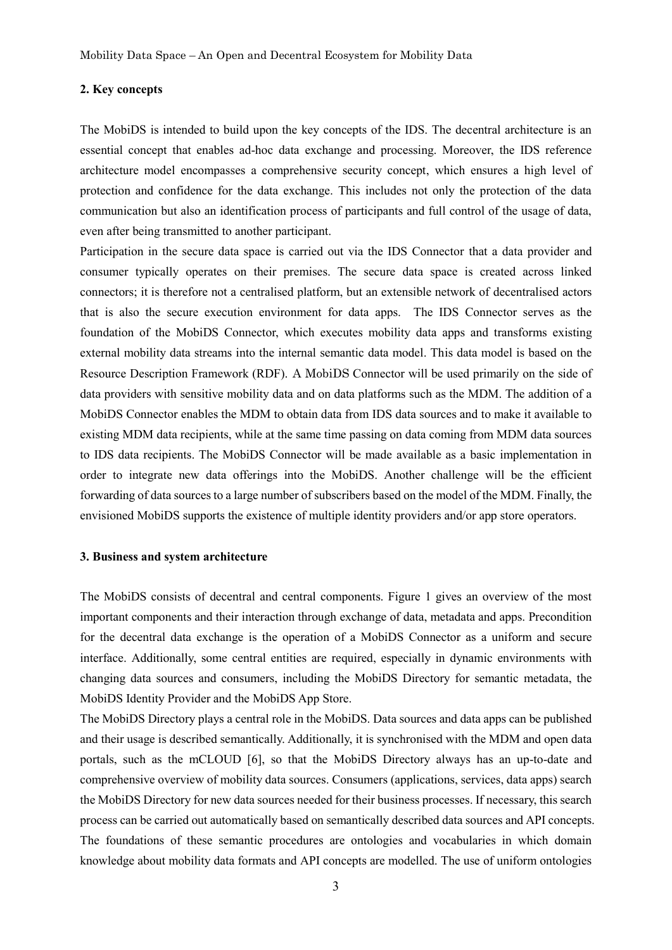Mobility Data Space – An Open and Decentral Ecosystem for Mobility Data

### **2. Key concepts**

The MobiDS is intended to build upon the key concepts of the IDS. The decentral architecture is an essential concept that enables ad-hoc data exchange and processing. Moreover, the IDS reference architecture model encompasses a comprehensive security concept, which ensures a high level of protection and confidence for the data exchange. This includes not only the protection of the data communication but also an identification process of participants and full control of the usage of data, even after being transmitted to another participant.

Participation in the secure data space is carried out via the IDS Connector that a data provider and consumer typically operates on their premises. The secure data space is created across linked connectors; it is therefore not a centralised platform, but an extensible network of decentralised actors that is also the secure execution environment for data apps. The IDS Connector serves as the foundation of the MobiDS Connector, which executes mobility data apps and transforms existing external mobility data streams into the internal semantic data model. This data model is based on the Resource Description Framework (RDF). A MobiDS Connector will be used primarily on the side of data providers with sensitive mobility data and on data platforms such as the MDM. The addition of a MobiDS Connector enables the MDM to obtain data from IDS data sources and to make it available to existing MDM data recipients, while at the same time passing on data coming from MDM data sources to IDS data recipients. The MobiDS Connector will be made available as a basic implementation in order to integrate new data offerings into the MobiDS. Another challenge will be the efficient forwarding of data sources to a large number of subscribers based on the model of the MDM. Finally, the envisioned MobiDS supports the existence of multiple identity providers and/or app store operators.

#### **3. Business and system architecture**

The MobiDS consists of decentral and central components. Figure 1 gives an overview of the most important components and their interaction through exchange of data, metadata and apps. Precondition for the decentral data exchange is the operation of a MobiDS Connector as a uniform and secure interface. Additionally, some central entities are required, especially in dynamic environments with changing data sources and consumers, including the MobiDS Directory for semantic metadata, the MobiDS Identity Provider and the MobiDS App Store.

The MobiDS Directory plays a central role in the MobiDS. Data sources and data apps can be published and their usage is described semantically. Additionally, it is synchronised with the MDM and open data portals, such as the mCLOUD [6], so that the MobiDS Directory always has an up-to-date and comprehensive overview of mobility data sources. Consumers (applications, services, data apps) search the MobiDS Directory for new data sources needed for their business processes. If necessary, this search process can be carried out automatically based on semantically described data sources and API concepts. The foundations of these semantic procedures are ontologies and vocabularies in which domain knowledge about mobility data formats and API concepts are modelled. The use of uniform ontologies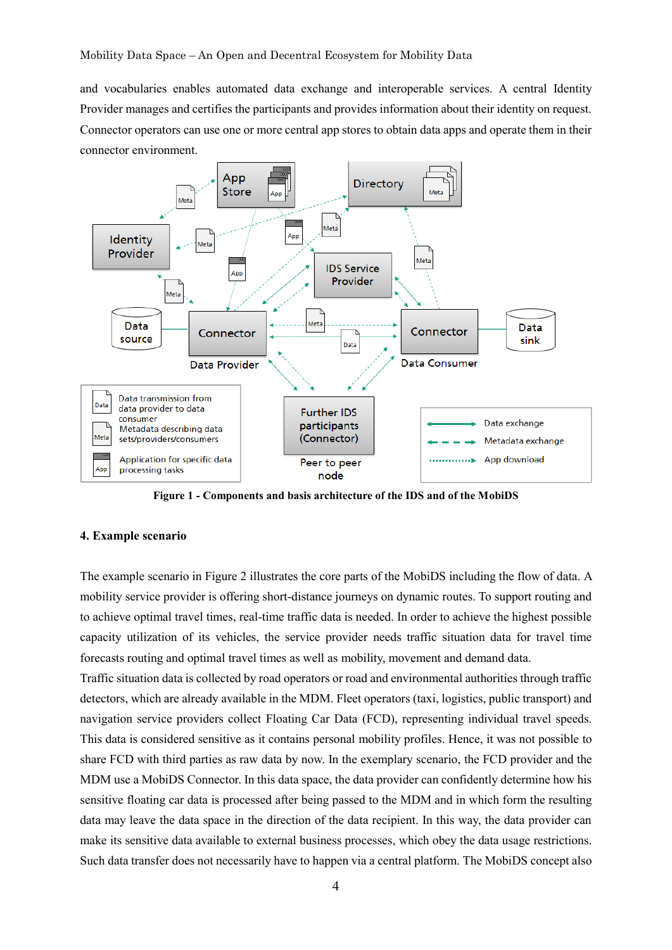and vocabularies enables automated data exchange and interoperable services. A central Identity Provider manages and certifies the participants and provides information about their identity on request. Connector operators can use one or more central app stores to obtain data apps and operate them in their connector environment.



**Figure 1 - Components and basis architecture of the IDS and of the MobiDS**

## **4. Example scenario**

The example scenario in Figure 2 illustrates the core parts of the MobiDS including the flow of data. A mobility service provider is offering short-distance journeys on dynamic routes. To support routing and to achieve optimal travel times, real-time traffic data is needed. In order to achieve the highest possible capacity utilization of its vehicles, the service provider needs traffic situation data for travel time forecasts routing and optimal travel times as well as mobility, movement and demand data.

Traffic situation data is collected by road operators or road and environmental authorities through traffic detectors, which are already available in the MDM. Fleet operators (taxi, logistics, public transport) and navigation service providers collect Floating Car Data (FCD), representing individual travel speeds. This data is considered sensitive as it contains personal mobility profiles. Hence, it was not possible to share FCD with third parties as raw data by now. In the exemplary scenario, the FCD provider and the MDM use a MobiDS Connector. In this data space, the data provider can confidently determine how his sensitive floating car data is processed after being passed to the MDM and in which form the resulting data may leave the data space in the direction of the data recipient. In this way, the data provider can make its sensitive data available to external business processes, which obey the data usage restrictions. Such data transfer does not necessarily have to happen via a central platform. The MobiDS concept also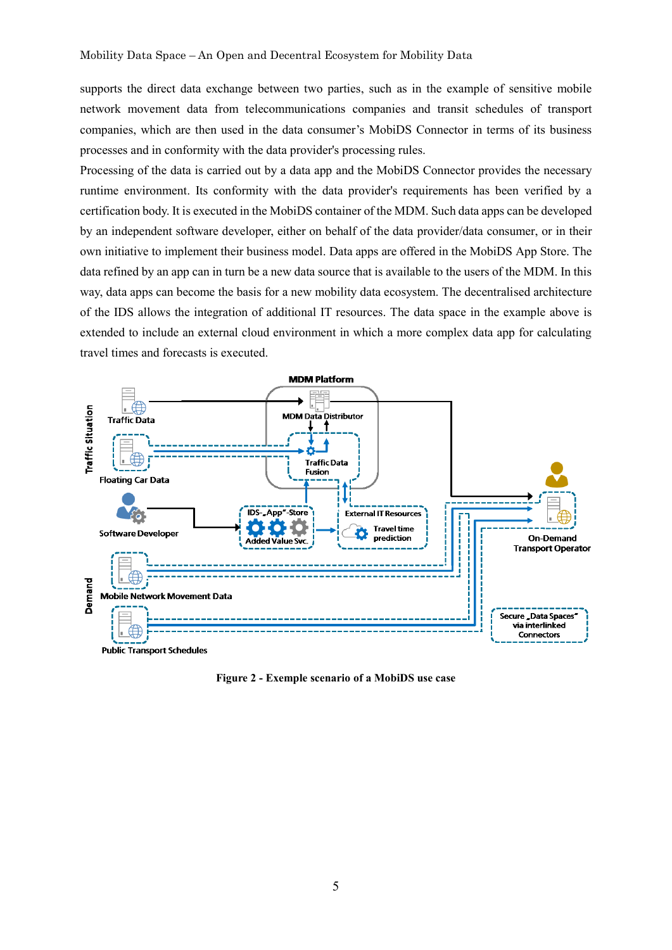supports the direct data exchange between two parties, such as in the example of sensitive mobile network movement data from telecommunications companies and transit schedules of transport companies, which are then used in the data consumer's MobiDS Connector in terms of its business processes and in conformity with the data provider's processing rules.

Processing of the data is carried out by a data app and the MobiDS Connector provides the necessary runtime environment. Its conformity with the data provider's requirements has been verified by a certification body. It is executed in the MobiDS container of the MDM. Such data apps can be developed by an independent software developer, either on behalf of the data provider/data consumer, or in their own initiative to implement their business model. Data apps are offered in the MobiDS App Store. The data refined by an app can in turn be a new data source that is available to the users of the MDM. In this way, data apps can become the basis for a new mobility data ecosystem. The decentralised architecture of the IDS allows the integration of additional IT resources. The data space in the example above is extended to include an external cloud environment in which a more complex data app for calculating travel times and forecasts is executed.



**Figure 2 - Exemple scenario of a MobiDS use case**